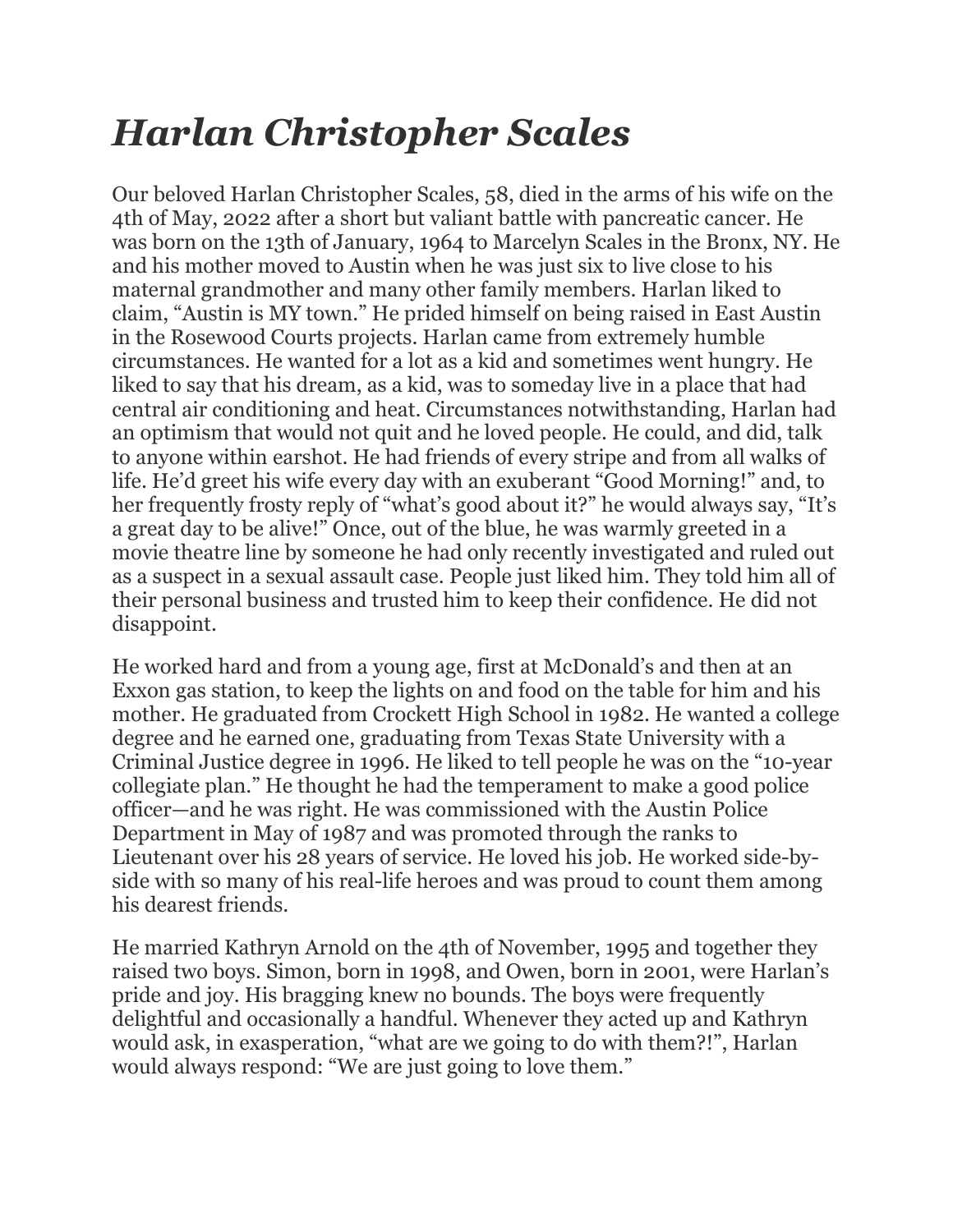## *Harlan Christopher Scales*

Our beloved Harlan Christopher Scales, 58, died in the arms of his wife on the 4th of May, 2022 after a short but valiant battle with pancreatic cancer. He was born on the 13th of January, 1964 to Marcelyn Scales in the Bronx, NY. He and his mother moved to Austin when he was just six to live close to his maternal grandmother and many other family members. Harlan liked to claim, "Austin is MY town." He prided himself on being raised in East Austin in the Rosewood Courts projects. Harlan came from extremely humble circumstances. He wanted for a lot as a kid and sometimes went hungry. He liked to say that his dream, as a kid, was to someday live in a place that had central air conditioning and heat. Circumstances notwithstanding, Harlan had an optimism that would not quit and he loved people. He could, and did, talk to anyone within earshot. He had friends of every stripe and from all walks of life. He'd greet his wife every day with an exuberant "Good Morning!" and, to her frequently frosty reply of "what's good about it?" he would always say, "It's a great day to be alive!" Once, out of the blue, he was warmly greeted in a movie theatre line by someone he had only recently investigated and ruled out as a suspect in a sexual assault case. People just liked him. They told him all of their personal business and trusted him to keep their confidence. He did not disappoint.

He worked hard and from a young age, first at McDonald's and then at an Exxon gas station, to keep the lights on and food on the table for him and his mother. He graduated from Crockett High School in 1982. He wanted a college degree and he earned one, graduating from Texas State University with a Criminal Justice degree in 1996. He liked to tell people he was on the "10-year collegiate plan." He thought he had the temperament to make a good police officer—and he was right. He was commissioned with the Austin Police Department in May of 1987 and was promoted through the ranks to Lieutenant over his 28 years of service. He loved his job. He worked side-byside with so many of his real-life heroes and was proud to count them among his dearest friends.

He married Kathryn Arnold on the 4th of November, 1995 and together they raised two boys. Simon, born in 1998, and Owen, born in 2001, were Harlan's pride and joy. His bragging knew no bounds. The boys were frequently delightful and occasionally a handful. Whenever they acted up and Kathryn would ask, in exasperation, "what are we going to do with them?!", Harlan would always respond: "We are just going to love them."